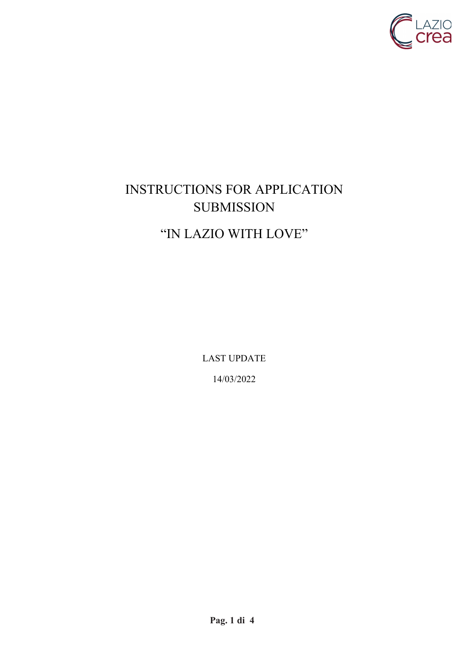

# INSTRUCTIONS FOR APPLICATION SUBMISSION "IN LAZIO WITH LOVE"

LAST UPDATE

14/03/2022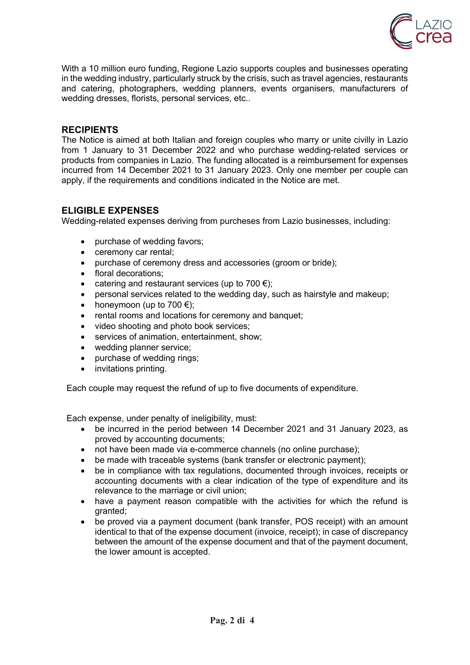

With a 10 million euro funding, Regione Lazio supports couples and businesses operating in the wedding industry, particularly struck by the crisis, such as travel agencies, restaurants and catering, photographers, wedding planners, events organisers, manufacturers of wedding dresses, florists, personal services, etc..

#### **RECIPIENTS**

The Notice is aimed at both Italian and foreign couples who marry or unite civilly in Lazio from 1 January to 31 December 2022 and who purchase wedding-related services or products from companies in Lazio. The funding allocated is a reimbursement for expenses incurred from 14 December 2021 to 31 January 2023. Only one member per couple can apply, if the requirements and conditions indicated in the Notice are met.

# **ELIGIBLE EXPENSES**

Wedding-related expenses deriving from purcheses from Lazio businesses, including:

- purchase of wedding favors;
- ceremony car rental;
- purchase of ceremony dress and accessories (groom or bride);
- floral decorations;
- catering and restaurant services (up to 700  $\epsilon$ );
- personal services related to the wedding day, such as hairstyle and makeup;
- honeymoon (up to  $700 \in \mathbb{R}$ );
- rental rooms and locations for ceremony and banquet;
- video shooting and photo book services;
- services of animation, entertainment, show;
- wedding planner service;
- purchase of wedding rings;
- invitations printing.

Each couple may request the refund of up to five documents of expenditure.

Each expense, under penalty of ineligibility, must:

- be incurred in the period between 14 December 2021 and 31 January 2023, as proved by accounting documents;
- not have been made via e-commerce channels (no online purchase);
- be made with traceable systems (bank transfer or electronic payment);
- be in compliance with tax regulations, documented through invoices, receipts or accounting documents with a clear indication of the type of expenditure and its relevance to the marriage or civil union;
- have a payment reason compatible with the activities for which the refund is granted;
- be proved via a payment document (bank transfer, POS receipt) with an amount identical to that of the expense document (invoice, receipt); in case of discrepancy between the amount of the expense document and that of the payment document, the lower amount is accepted.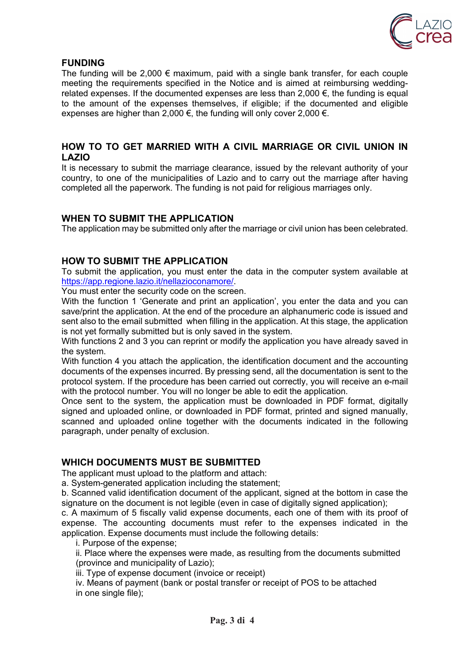

# **FUNDING**

The funding will be 2,000  $\epsilon$  maximum, paid with a single bank transfer, for each couple meeting the requirements specified in the Notice and is aimed at reimbursing weddingrelated expenses. If the documented expenses are less than  $2,000 \in$ , the funding is equal to the amount of the expenses themselves, if eligible; if the documented and eligible expenses are higher than 2,000  $\epsilon$ , the funding will only cover 2,000  $\epsilon$ .

#### **HOW TO TO GET MARRIED WITH A CIVIL MARRIAGE OR CIVIL UNION IN LAZIO**

It is necessary to submit the marriage clearance, issued by the relevant authority of your country, to one of the municipalities of Lazio and to carry out the marriage after having completed all the paperwork. The funding is not paid for religious marriages only.

# **WHEN TO SUBMIT THE APPLICATION**

The application may be submitted only after the marriage or civil union has been celebrated.

# **HOW TO SUBMIT THE APPLICATION**

To submit the application, you must enter the data in the computer system available at https://app.regione.lazio.it/nellazioconamore/.

You must enter the security code on the screen.

With the function 1 'Generate and print an application', you enter the data and you can save/print the application. At the end of the procedure an alphanumeric code is issued and sent also to the email submitted when filling in the application. At this stage, the application is not yet formally submitted but is only saved in the system.

With functions 2 and 3 you can reprint or modify the application you have already saved in the system.

With function 4 you attach the application, the identification document and the accounting documents of the expenses incurred. By pressing send, all the documentation is sent to the protocol system. If the procedure has been carried out correctly, you will receive an e-mail with the protocol number. You will no longer be able to edit the application.

Once sent to the system, the application must be downloaded in PDF format, digitally signed and uploaded online, or downloaded in PDF format, printed and signed manually, scanned and uploaded online together with the documents indicated in the following paragraph, under penalty of exclusion.

#### **WHICH DOCUMENTS MUST BE SUBMITTED**

The applicant must upload to the platform and attach:

a. System-generated application including the statement;

b. Scanned valid identification document of the applicant, signed at the bottom in case the signature on the document is not legible (even in case of digitally signed application);

c. A maximum of 5 fiscally valid expense documents, each one of them with its proof of expense. The accounting documents must refer to the expenses indicated in the application. Expense documents must include the following details:

i. Purpose of the expense;

ii. Place where the expenses were made, as resulting from the documents submitted (province and municipality of Lazio);

iii. Type of expense document (invoice or receipt)

iv. Means of payment (bank or postal transfer or receipt of POS to be attached in one single file):